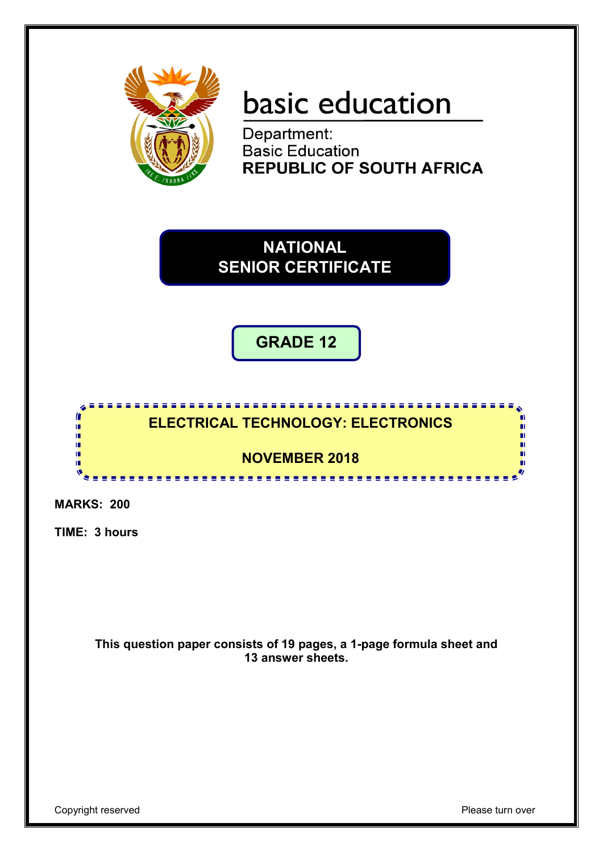

# basic education

Department:<br>Basic Education **REPUBLIC OF SOUTH AFRICA** 

**NATIONAL SENIOR CERTIFICATE**

**GRADE 12**



**MARKS: 200**

**TIME: 3 hours**

**This question paper consists of 19 pages, a 1-page formula sheet and 13 answer sheets.**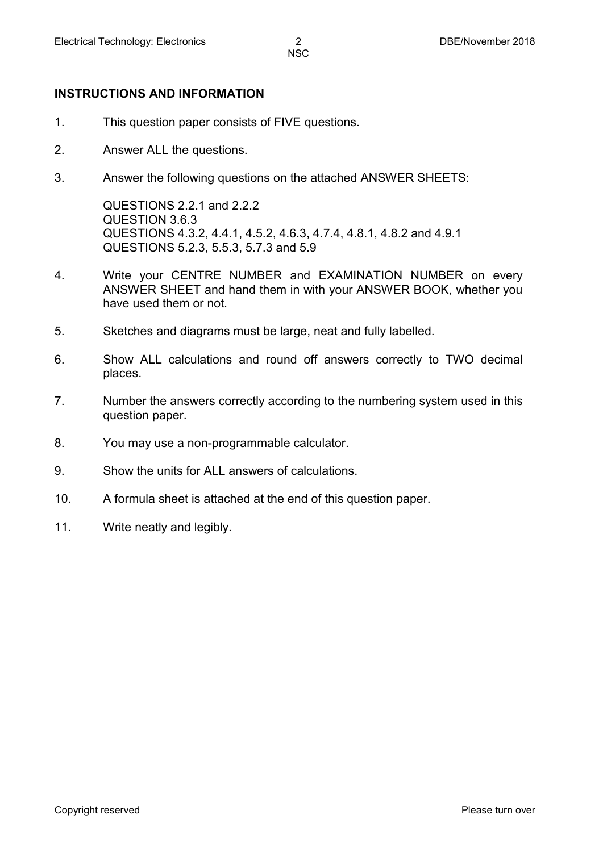#### **INSTRUCTIONS AND INFORMATION**

- 1. This question paper consists of FIVE questions.
- 2. Answer ALL the questions.
- 3. Answer the following questions on the attached ANSWER SHEETS:

QUESTIONS 2.2.1 and 2.2.2 QUESTION 3.6.3 QUESTIONS 4.3.2, 4.4.1, 4.5.2, 4.6.3, 4.7.4, 4.8.1, 4.8.2 and 4.9.1 QUESTIONS 5.2.3, 5.5.3, 5.7.3 and 5.9

- 4. Write your CENTRE NUMBER and EXAMINATION NUMBER on every ANSWER SHEET and hand them in with your ANSWER BOOK, whether you have used them or not.
- 5. Sketches and diagrams must be large, neat and fully labelled.
- 6. Show ALL calculations and round off answers correctly to TWO decimal places.
- 7. Number the answers correctly according to the numbering system used in this question paper.
- 8. You may use a non-programmable calculator.
- 9. Show the units for ALL answers of calculations.
- 10. A formula sheet is attached at the end of this question paper.
- 11. Write neatly and legibly.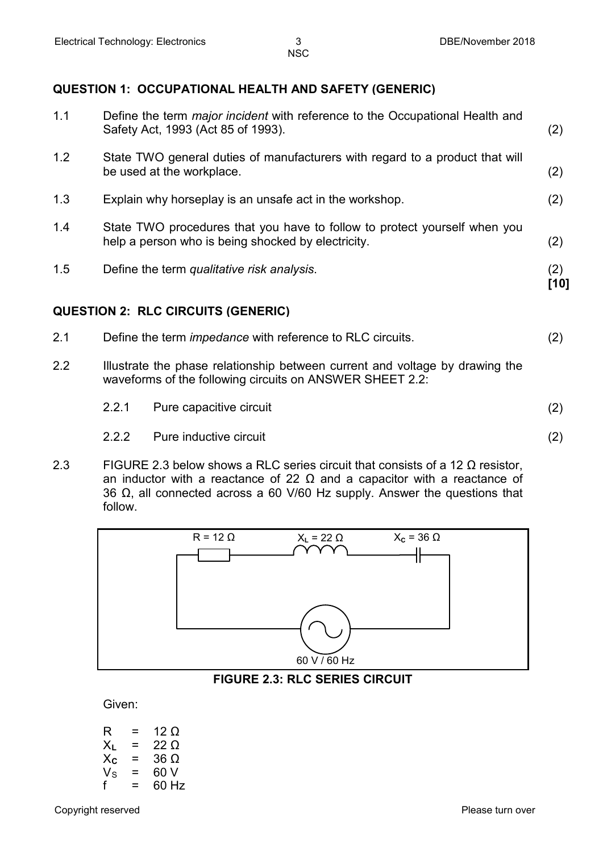#### **QUESTION 1: OCCUPATIONAL HEALTH AND SAFETY (GENERIC)**

| 1.1 |       | Define the term <i>major incident</i> with reference to the Occupational Health and<br>Safety Act, 1993 (Act 85 of 1993).                | (2)         |
|-----|-------|------------------------------------------------------------------------------------------------------------------------------------------|-------------|
| 1.2 |       | State TWO general duties of manufacturers with regard to a product that will<br>be used at the workplace.                                | (2)         |
| 1.3 |       | Explain why horseplay is an unsafe act in the workshop.                                                                                  | (2)         |
| 1.4 |       | State TWO procedures that you have to follow to protect yourself when you<br>help a person who is being shocked by electricity.          | (2)         |
| 1.5 |       | Define the term qualitative risk analysis.                                                                                               | (2)<br>[10] |
|     |       | <b>QUESTION 2: RLC CIRCUITS (GENERIC)</b>                                                                                                |             |
| 2.1 |       | Define the term <i>impedance</i> with reference to RLC circuits.                                                                         | (2)         |
| 2.2 |       | Illustrate the phase relationship between current and voltage by drawing the<br>waveforms of the following circuits on ANSWER SHEET 2.2: |             |
|     | 2.2.1 | Pure capacitive circuit                                                                                                                  | (2)         |

- 2.2.2 Pure inductive circuit (2)
- 2.3 FIGURE 2.3 below shows a RLC series circuit that consists of a 12  $\Omega$  resistor, an inductor with a reactance of 22  $\Omega$  and a capacitor with a reactance of 36 Ω, all connected across a 60 V/60 Hz supply. Answer the questions that follow.



#### **FIGURE 2.3: RLC SERIES CIRCUIT**

Given:

| R                | = | 12 O        |
|------------------|---|-------------|
| $X_L$            | = | 22 O        |
| $X_{\mathbf{C}}$ | = | 36 $\Omega$ |
| $V_{\rm S}$      | = | 60 V        |
| f                | = | 60 Hz       |
|                  |   |             |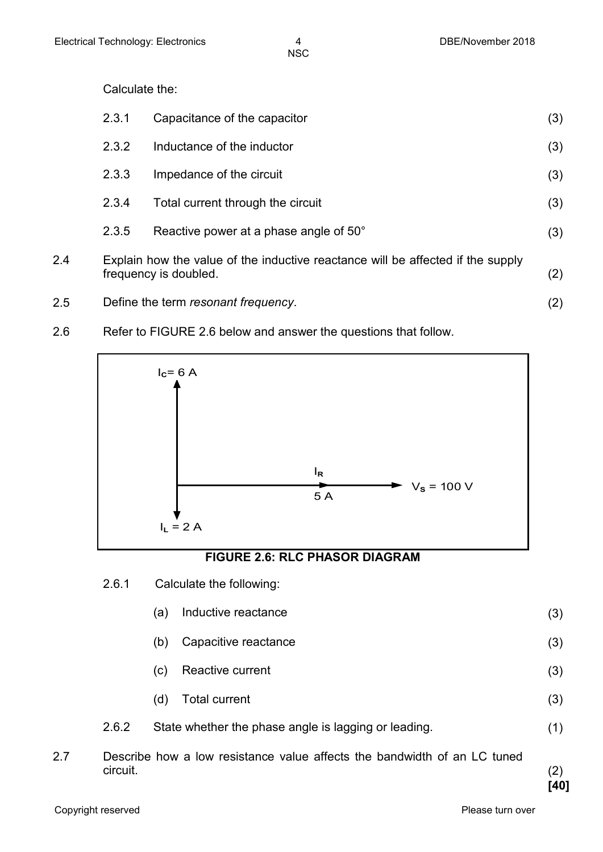Calculate the:

|     | 2.3.1 | Capacitance of the capacitor                                                                             | (3) |
|-----|-------|----------------------------------------------------------------------------------------------------------|-----|
|     | 2.3.2 | Inductance of the inductor                                                                               | (3) |
|     | 2.3.3 | Impedance of the circuit                                                                                 | (3) |
|     | 2.3.4 | Total current through the circuit                                                                        | (3) |
|     | 2.3.5 | Reactive power at a phase angle of 50°                                                                   | (3) |
| 2.4 |       | Explain how the value of the inductive reactance will be affected if the supply<br>frequency is doubled. | (2) |

- 2.5 Define the term *resonant frequency*. (2)
- 2.6 Refer to FIGURE 2.6 below and answer the questions that follow.



# **FIGURE 2.6: RLC PHASOR DIAGRAM**

- 2.6.1 Calculate the following:
	- (a) Inductive reactance (3)
	- (b) Capacitive reactance (3)
	- (c) Reactive current (3)
	- (d) Total current (3)
- 2.6.2 State whether the phase angle is lagging or leading. (1)
- 2.7 Describe how a low resistance value affects the bandwidth of an LC tuned circuit. (2)

**[40]**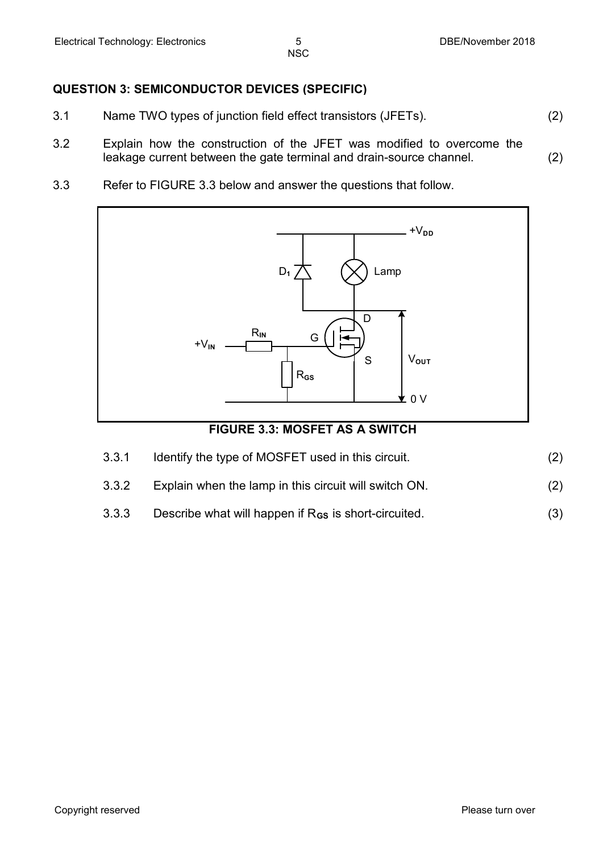#### **QUESTION 3: SEMICONDUCTOR DEVICES (SPECIFIC)**

- 3.1 Name TWO types of junction field effect transistors (JFETs). (2)
- 3.2 Explain how the construction of the JFET was modified to overcome the leakage current between the gate terminal and drain-source channel. (2)
- 3.3 Refer to FIGURE 3.3 below and answer the questions that follow.



#### **FIGURE 3.3: MOSFET AS A SWITCH**

| 3.3.1 | Identify the type of MOSFET used in this circuit.     |     |
|-------|-------------------------------------------------------|-----|
| 3.3.2 | Explain when the lamp in this circuit will switch ON. | (2) |

- 
- 3.3.3 Describe what will happen if R<sub>GS</sub> is short-circuited. (3)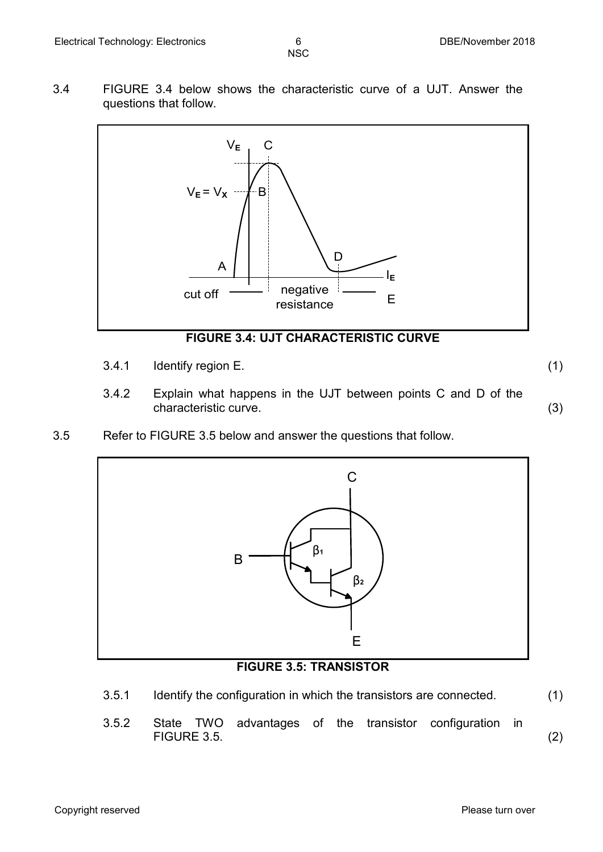- **NSC**
- 3.4 FIGURE 3.4 below shows the characteristic curve of a UJT. Answer the questions that follow.



# **FIGURE 3.4: UJT CHARACTERISTIC CURVE**

3.4.1 Identify region E. (1)

- 3.4.2 Explain what happens in the UJT between points C and D of the characteristic curve. (3)
- 3.5 Refer to FIGURE 3.5 below and answer the questions that follow.



# **FIGURE 3.5: TRANSISTOR**

- 3.5.1 Identify the configuration in which the transistors are connected. (1)
- 3.5.2 State TWO advantages of the transistor configuration in FIGURE 3.5. (2)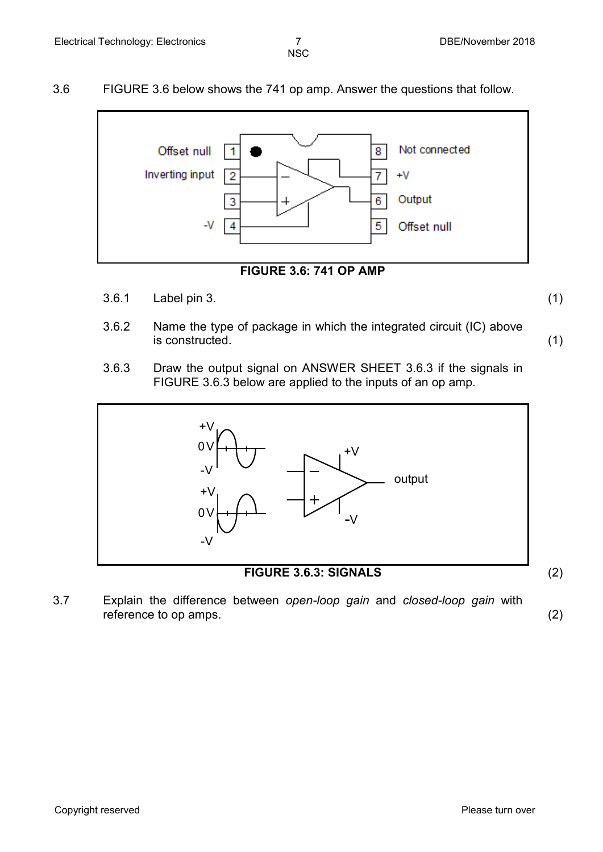3.6 FIGURE 3.6 below shows the 741 op amp. Answer the questions that follow.





3.6.1 Label pin 3. (1)

- 3.6.2 Name the type of package in which the integrated circuit (IC) above is constructed. (1)
- 3.6.3 Draw the output signal on ANSWER SHEET 3.6.3 if the signals in FIGURE 3.6.3 below are applied to the inputs of an op amp.



**FIGURE 3.6.3: SIGNALS** (2)

3.7 Explain the difference between *open-loop gain* and *closed-loop gain* with reference to op amps. (2)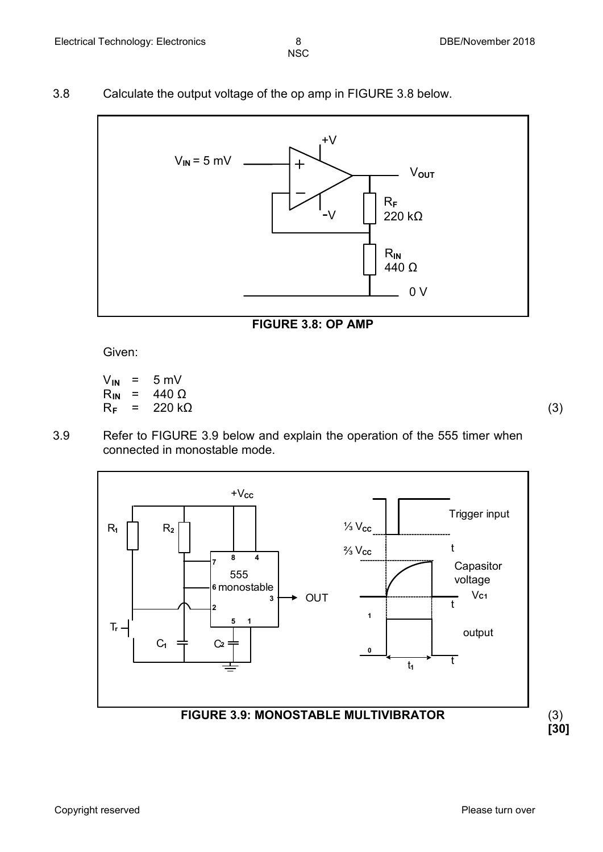3.8 Calculate the output voltage of the op amp in FIGURE 3.8 below.



#### **FIGURE 3.8: OP AMP**

Given:

$$
V_{IN} = 5 \text{ mV}
$$
  
\n
$$
R_{IN} = 440 \Omega
$$
  
\n
$$
R_{F} = 220 \text{ k}\Omega
$$
 (3)

3.9 Refer to FIGURE 3.9 below and explain the operation of the 555 timer when connected in monostable mode.

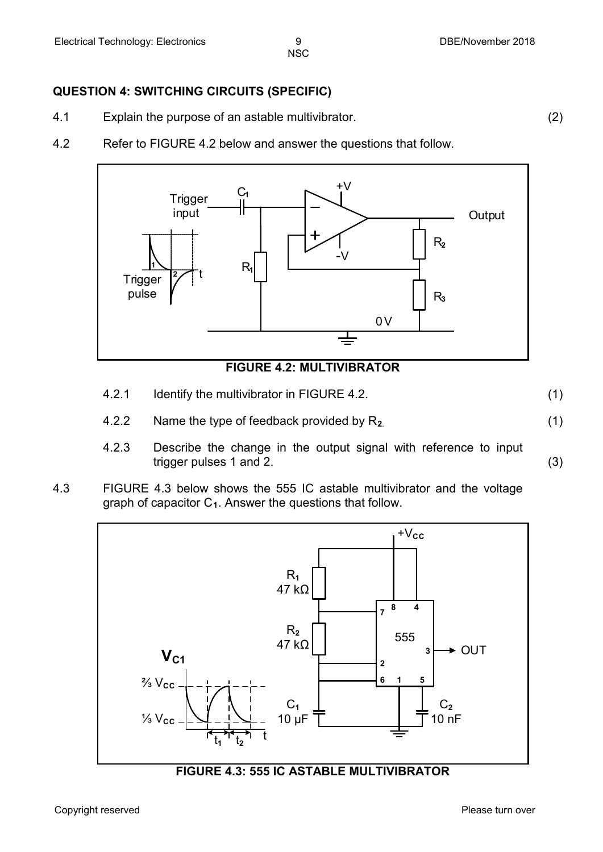### **QUESTION 4: SWITCHING CIRCUITS (SPECIFIC)**

- 4.1 Explain the purpose of an astable multivibrator. (2)
- 4.2 Refer to FIGURE 4.2 below and answer the questions that follow.



#### **FIGURE 4.2: MULTIVIBRATOR**

- 4.2.1 Identify the multivibrator in FIGURE 4.2. (1)
- 4.2.2 Name the type of feedback provided by R**2**. (1)
- 4.2.3 Describe the change in the output signal with reference to input trigger pulses 1 and 2. (3)
- 4.3 FIGURE 4.3 below shows the 555 IC astable multivibrator and the voltage graph of capacitor C**1**. Answer the questions that follow.



**FIGURE 4.3: 555 IC ASTABLE MULTIVIBRATOR**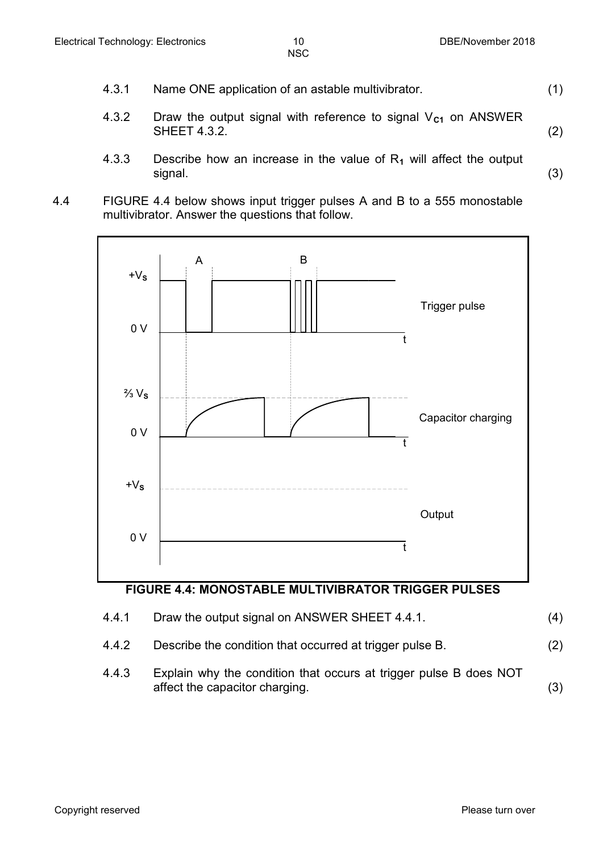- 4.3.1 Name ONE application of an astable multivibrator. (1)
- 4.3.2 Draw the output signal with reference to signal V<sub>C1</sub> on ANSWER SHEET 4.3.2. (2)
- 4.3.3 Describe how an increase in the value of R**<sup>1</sup>** will affect the output signal. (3)
- 4.4 FIGURE 4.4 below shows input trigger pulses A and B to a 555 monostable multivibrator. Answer the questions that follow.



### **FIGURE 4.4: MONOSTABLE MULTIVIBRATOR TRIGGER PULSES**

| 4.4.1 | Draw the output signal on ANSWER SHEET 4.4.1.                                                       | (4) |
|-------|-----------------------------------------------------------------------------------------------------|-----|
| 4.4.2 | Describe the condition that occurred at trigger pulse B.                                            | (2) |
| 4.4.3 | Explain why the condition that occurs at trigger pulse B does NOT<br>affect the capacitor charging. | (3) |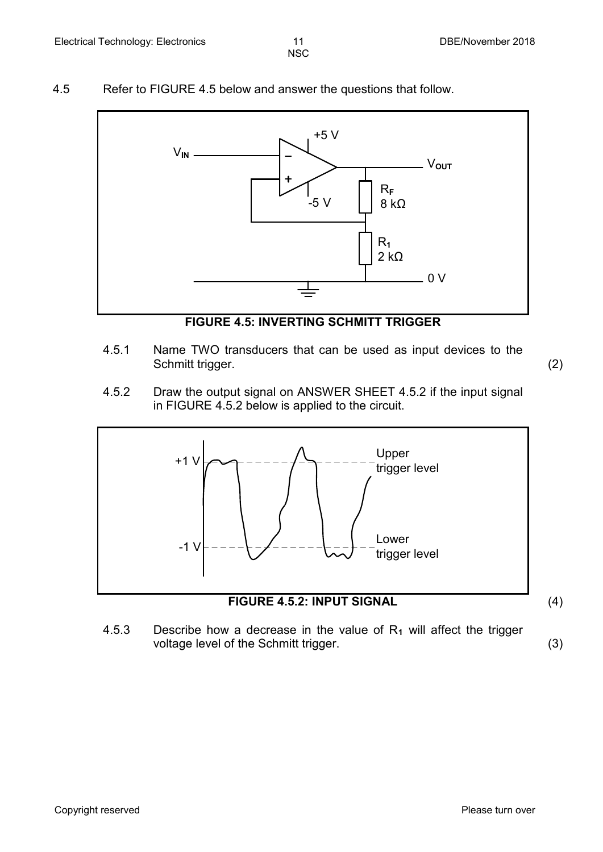- **NSC**
- 4.5 Refer to FIGURE 4.5 below and answer the questions that follow.



**FIGURE 4.5: INVERTING SCHMITT TRIGGER**

4.5.1 Name TWO transducers that can be used as input devices to the Schmitt trigger. (2)

4.5.2 Draw the output signal on ANSWER SHEET 4.5.2 if the input signal in FIGURE 4.5.2 below is applied to the circuit.



**FIGURE 4.5.2: INPUT SIGNAL** (4)

4.5.3 Describe how a decrease in the value of R**<sup>1</sup>** will affect the trigger voltage level of the Schmitt trigger. (3)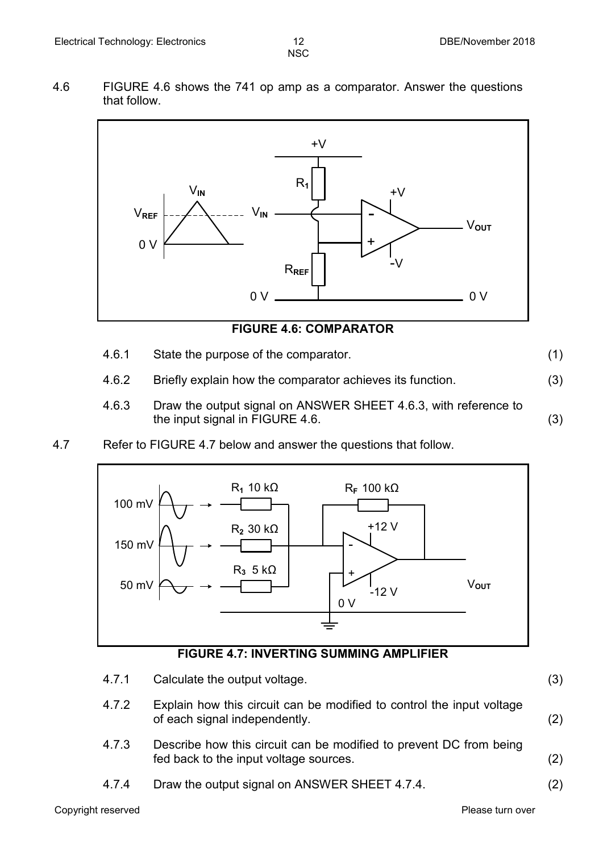4.6 FIGURE 4.6 shows the 741 op amp as a comparator. Answer the questions that follow.



**FIGURE 4.6: COMPARATOR**

- 4.6.1 State the purpose of the comparator. (1)
- 4.6.2 Briefly explain how the comparator achieves its function. (3)
- 4.6.3 Draw the output signal on ANSWER SHEET 4.6.3, with reference to the input signal in FIGURE 4.6. (3)
- 4.7 Refer to FIGURE 4.7 below and answer the questions that follow.



#### **FIGURE 4.7: INVERTING SUMMING AMPLIFIER**

4.7.1 Calculate the output voltage. (3) 4.7.2 Explain how this circuit can be modified to control the input voltage of each signal independently. (2) 4.7.3 Describe how this circuit can be modified to prevent DC from being fed back to the input voltage sources. (2) 4.7.4 Draw the output signal on ANSWER SHEET 4.7.4. (2)

Copyright reserved **Please turn over the Copyright reserved** Please turn over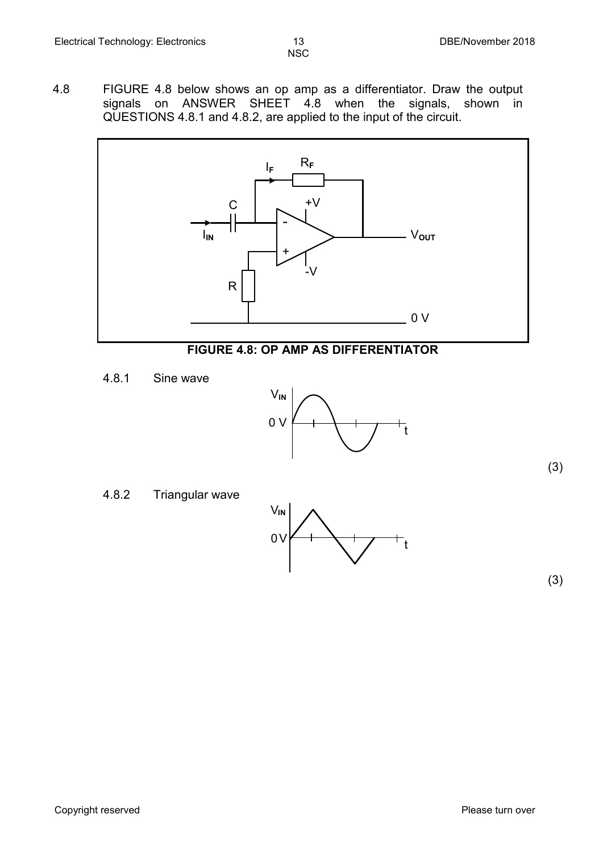- **NSC**
- 4.8 FIGURE 4.8 below shows an op amp as a differentiator. Draw the output signals on ANSWER SHEET 4.8 when the signals, shown in QUESTIONS 4.8.1 and 4.8.2, are applied to the input of the circuit.



### **FIGURE 4.8: OP AMP AS DIFFERENTIATOR**

4.8.1 Sine wave



4.8.2 Triangular wave



(3)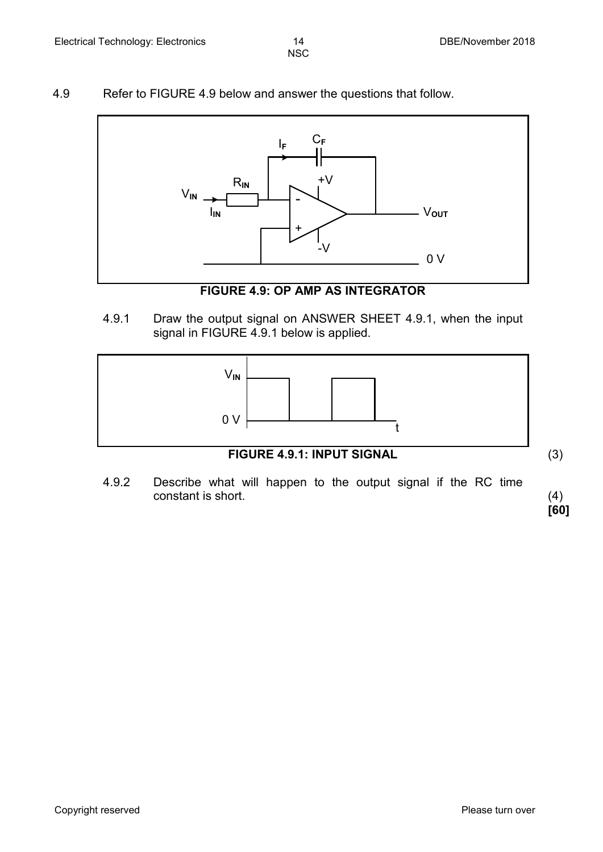#### 4.9 Refer to FIGURE 4.9 below and answer the questions that follow.



**FIGURE 4.9: OP AMP AS INTEGRATOR**

4.9.1 Draw the output signal on ANSWER SHEET 4.9.1, when the input signal in FIGURE 4.9.1 below is applied.



**FIGURE 4.9.1: INPUT SIGNAL** (3)

4.9.2 Describe what will happen to the output signal if the RC time constant is short. (4)

**[60]**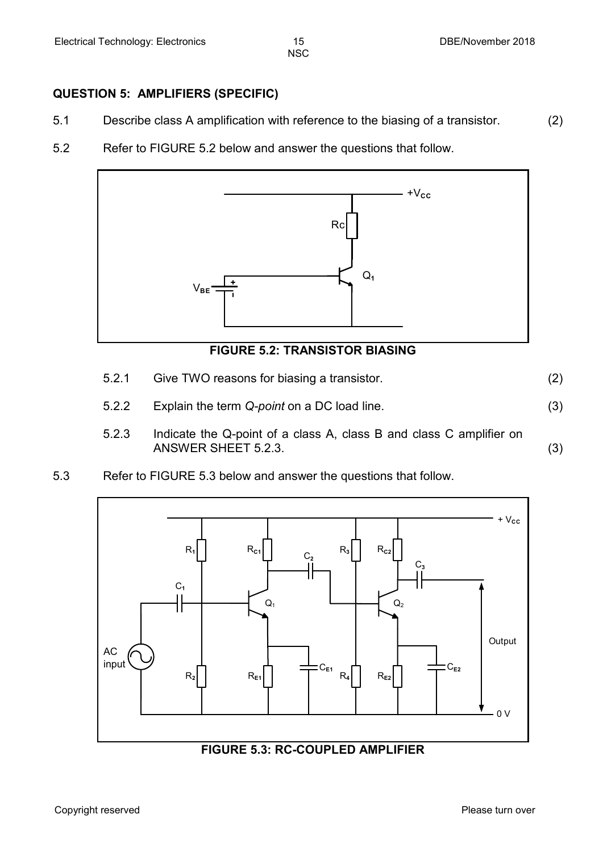#### **QUESTION 5: AMPLIFIERS (SPECIFIC)**

- 5.1 Describe class A amplification with reference to the biasing of a transistor. (2)
- 5.2 Refer to FIGURE 5.2 below and answer the questions that follow.



# **FIGURE 5.2: TRANSISTOR BIASING**

- 5.2.1 Give TWO reasons for biasing a transistor. (2)
- 5.2.2 Explain the term *Q-point* on a DC load line. (3)
- 5.2.3 Indicate the Q-point of a class A, class B and class C amplifier on ANSWER SHEET 5.2.3. (3)
- 5.3 Refer to FIGURE 5.3 below and answer the questions that follow.

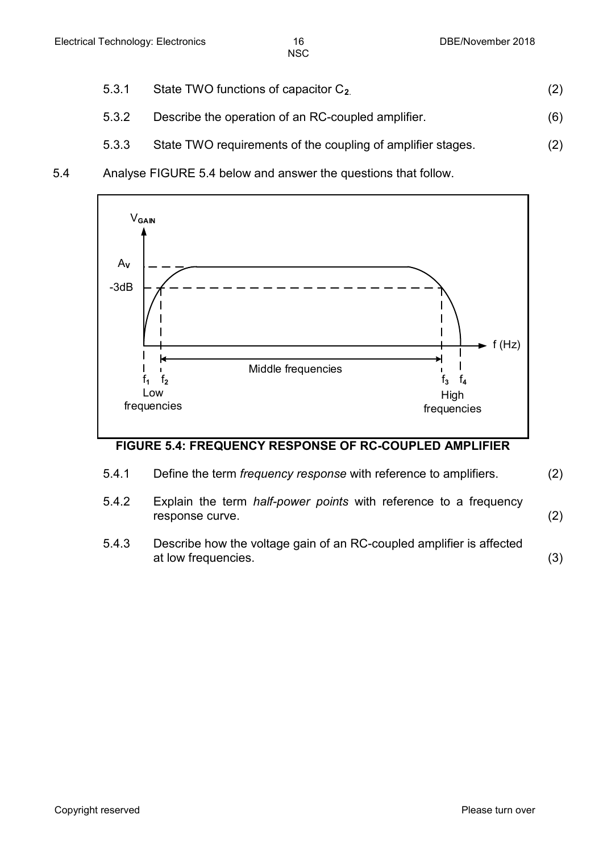- 
- 5.3.1 State TWO functions of capacitor C**2**. (2)
- 5.3.2 Describe the operation of an RC-coupled amplifier. (6)
- 5.3.3 State TWO requirements of the coupling of amplifier stages. (2)
- 5.4 Analyse FIGURE 5.4 below and answer the questions that follow.



# **FIGURE 5.4: FREQUENCY RESPONSE OF RC-COUPLED AMPLIFIER**

- 5.4.1 Define the term *frequency response* with reference to amplifiers. (2)
- 5.4.2 Explain the term *half-power points* with reference to a frequency response curve. (2)
- 5.4.3 Describe how the voltage gain of an RC-coupled amplifier is affected at low frequencies. (3)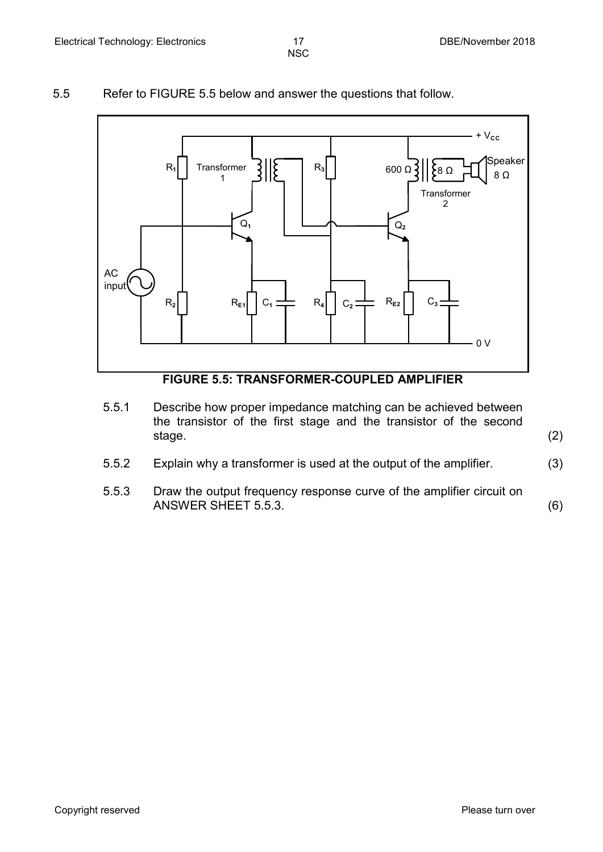#### 5.5 Refer to FIGURE 5.5 below and answer the questions that follow.



# 5.5.1 Describe how proper impedance matching can be achieved between

- the transistor of the first stage and the transistor of the second stage. (2)
- 5.5.2 Explain why a transformer is used at the output of the amplifier. (3)
- 5.5.3 Draw the output frequency response curve of the amplifier circuit on ANSWER SHEET 5.5.3. (6)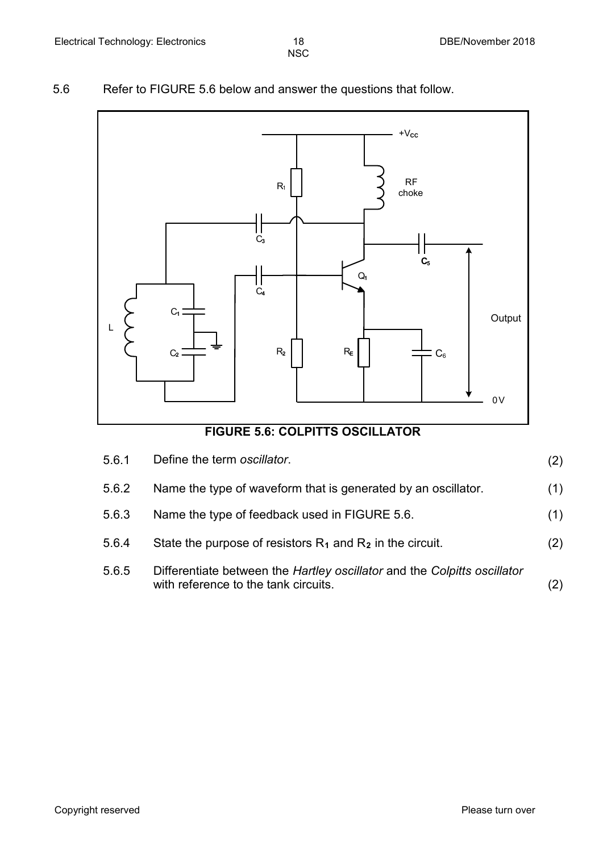# 5.6 Refer to FIGURE 5.6 below and answer the questions that follow.



| 5.6.1 | Define the term oscillator.                                                                                      | (2) |
|-------|------------------------------------------------------------------------------------------------------------------|-----|
| 5.6.2 | Name the type of waveform that is generated by an oscillator.                                                    | (1) |
| 5.6.3 | Name the type of feedback used in FIGURE 5.6.                                                                    | (1) |
| 5.6.4 | State the purpose of resistors $R_1$ and $R_2$ in the circuit.                                                   | (2) |
| 5.6.5 | Differentiate between the Hartley oscillator and the Colpitts oscillator<br>with reference to the tank circuits. |     |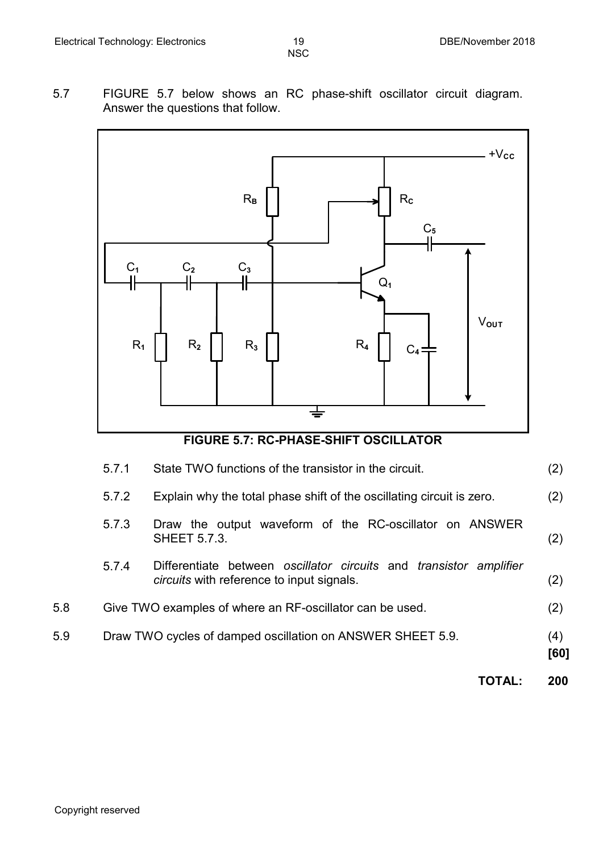5.7 FIGURE 5.7 below shows an RC phase-shift oscillator circuit diagram. Answer the questions that follow.



# **FIGURE 5.7: RC-PHASE-SHIFT OSCILLATOR**

|     | 5.7.1 | State TWO functions of the transistor in the circuit.                                                                  | (2)         |
|-----|-------|------------------------------------------------------------------------------------------------------------------------|-------------|
|     | 5.7.2 | Explain why the total phase shift of the oscillating circuit is zero.                                                  | (2)         |
|     | 5.7.3 | Draw the output waveform of the RC-oscillator on ANSWER<br><b>SHEET 5.7.3.</b>                                         | (2)         |
|     | 5.7.4 | Differentiate between oscillator circuits and transistor amplifier<br><i>circuits</i> with reference to input signals. | (2)         |
| 5.8 |       | Give TWO examples of where an RF-oscillator can be used.                                                               | (2)         |
| 5.9 |       | Draw TWO cycles of damped oscillation on ANSWER SHEET 5.9.                                                             | (4)<br>[60] |
|     |       | TOTAL:                                                                                                                 | 200         |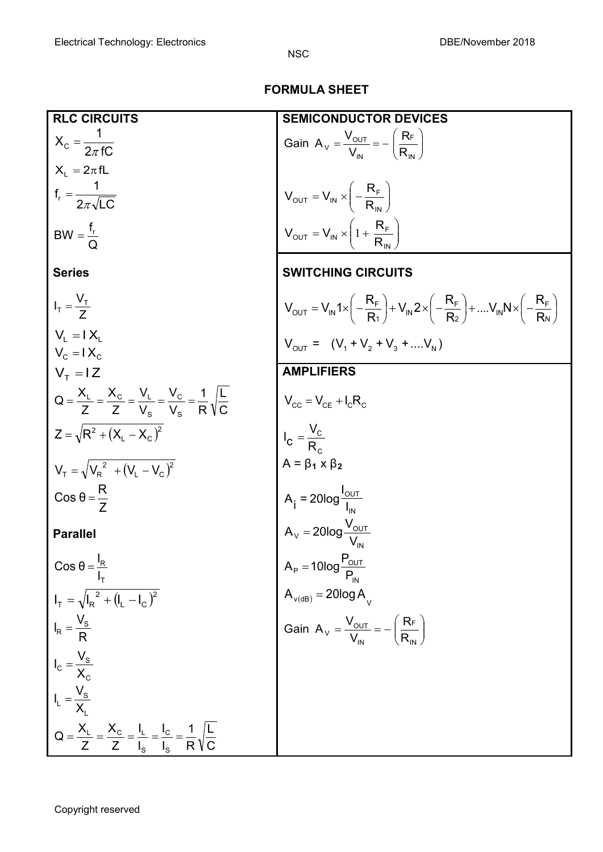# **FORMULA SHEET**

| <b>RLC CIRCUITS</b>                                                                                                 | <b>CONDUCTOR DEVICES</b>                                                                                                                                                                                                                                                                                                                                                                                         |
|---------------------------------------------------------------------------------------------------------------------|------------------------------------------------------------------------------------------------------------------------------------------------------------------------------------------------------------------------------------------------------------------------------------------------------------------------------------------------------------------------------------------------------------------|
| $X_c = \frac{1}{2\pi fC}$                                                                                           | Gain $A_v = \frac{V_{\text{OUT}}}{V_{\text{IN}}} = -\left(\frac{R_F}{R_{\text{IN}}}\right)$                                                                                                                                                                                                                                                                                                                      |
| $X_L = 2\pi fL$                                                                                                     |                                                                                                                                                                                                                                                                                                                                                                                                                  |
| $f_r = \frac{1}{2\pi\sqrt{LC}}$                                                                                     | $V_{\text{OUT}} = V_{\text{IN}} \times \left(-\frac{R_{\text{F}}}{R_{\text{IN}}}\right)$<br>$V_{\text{OUT}} = V_{\text{IN}} \times \left(1 + \frac{R_{\text{F}}}{R_{\text{IN}}}\right)$                                                                                                                                                                                                                          |
| BW = $\frac{f_r}{\Omega}$                                                                                           |                                                                                                                                                                                                                                                                                                                                                                                                                  |
| <b>Series</b>                                                                                                       | <b>SWITCHING CIRCUITS</b>                                                                                                                                                                                                                                                                                                                                                                                        |
| $I_T = \frac{V_T}{7}$                                                                                               | $V_{\text{OUT}} = V_{\text{IN}} 1 \times \left( -\frac{R_{\text{F}}}{R_1} \right) + V_{\text{IN}} 2 \times \left( -\frac{R_{\text{F}}}{R_2} \right) + \dots V_{\text{IN}} N \times \left( -\frac{R_{\text{F}}}{R_{\text{N}}} \right)$                                                                                                                                                                            |
| $V_1 = IX_1$<br>$V_c = IX_c$                                                                                        | $V_{\text{OUT}} = (V_1 + V_2 + V_3 + V_N)$                                                                                                                                                                                                                                                                                                                                                                       |
| $VT = IZ$                                                                                                           | <b>AMPLIFIERS</b>                                                                                                                                                                                                                                                                                                                                                                                                |
| $Q = \frac{X_{L}}{Z} = \frac{X_{C}}{Z} = \frac{V_{L}}{V_{S}} = \frac{V_{C}}{V_{S}} = \frac{1}{R}\sqrt{\frac{L}{C}}$ |                                                                                                                                                                                                                                                                                                                                                                                                                  |
| $Z = \sqrt{R^2 + (X_1 - X_2)^2}$                                                                                    |                                                                                                                                                                                                                                                                                                                                                                                                                  |
| $V_T = \sqrt{V_R^2 + (V_L - V_C)^2}$                                                                                |                                                                                                                                                                                                                                                                                                                                                                                                                  |
| $\cos \theta = \frac{R}{7}$                                                                                         | $V_{\text{CC}} = V_{\text{CE}} + I_{\text{C}}R_{\text{C}}$<br>$I_{\text{C}} = \frac{V_{\text{C}}}{R_{\text{C}}}$<br>$A = \beta_1 \times \beta_2$<br>$A_{\text{i}} = 20\log \frac{I_{\text{OUT}}}{I_{\text{IN}}}$<br>$A_{\text{V}} = 20\log \frac{V_{\text{OUT}}}{V_{\text{IN}}}$<br>$A_{\text{P}} = 10\log \frac{P_{\text{OUT}}}{P_{\text{IN}}}$<br>$A_{\text{V(dB)}} = 20\log A_{\text{V}}$<br>Gain $A_{\text{$ |
| <b>Parallel</b>                                                                                                     |                                                                                                                                                                                                                                                                                                                                                                                                                  |
| Cos $\theta = \frac{I_R}{I_T}$                                                                                      |                                                                                                                                                                                                                                                                                                                                                                                                                  |
| $I_T = \sqrt{I_R^2 + (I_L - I_C)^2}$                                                                                |                                                                                                                                                                                                                                                                                                                                                                                                                  |
| $I_R = \frac{V_S}{R}$                                                                                               |                                                                                                                                                                                                                                                                                                                                                                                                                  |
| $I_c = \frac{V_s}{X_c}$                                                                                             |                                                                                                                                                                                                                                                                                                                                                                                                                  |
| $I_L = \frac{V_S}{X_I}$                                                                                             |                                                                                                                                                                                                                                                                                                                                                                                                                  |
| $Q = \frac{X_L}{Z} = \frac{X_C}{Z} = \frac{I_L}{I_S} = \frac{I_C}{I_S} = \frac{1}{R}\sqrt{\frac{L}{C}}$             |                                                                                                                                                                                                                                                                                                                                                                                                                  |

Copyright reserved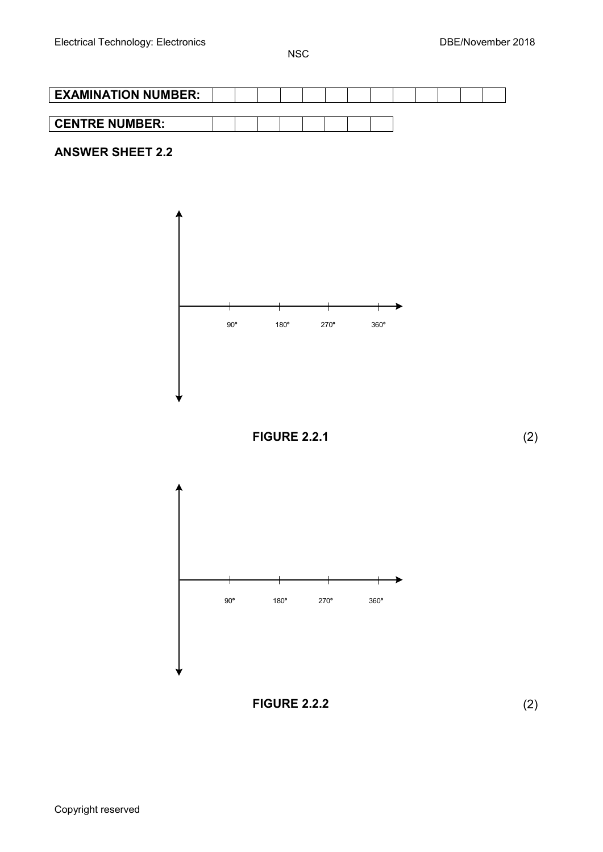



Copyright reserved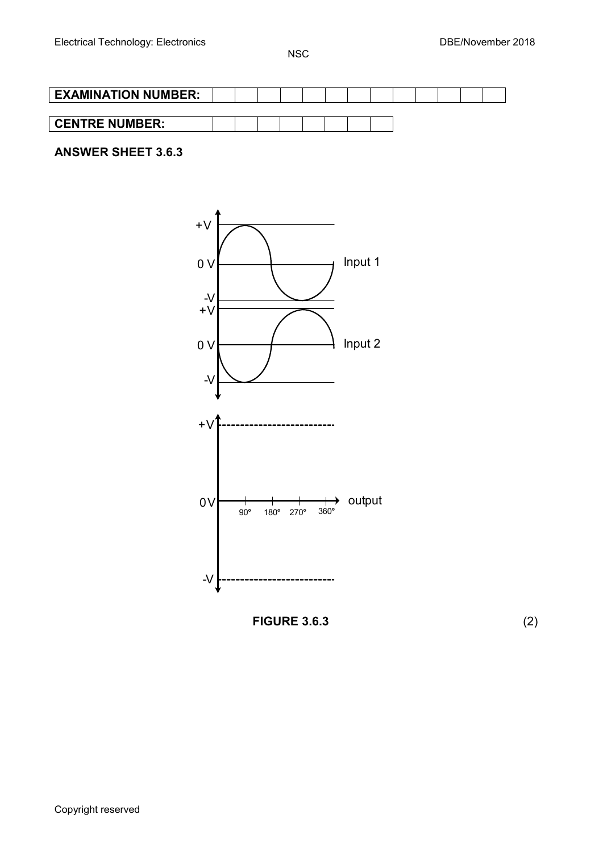

# **ANSWER SHEET 3.6.3**



**FIGURE 3.6.3** (2)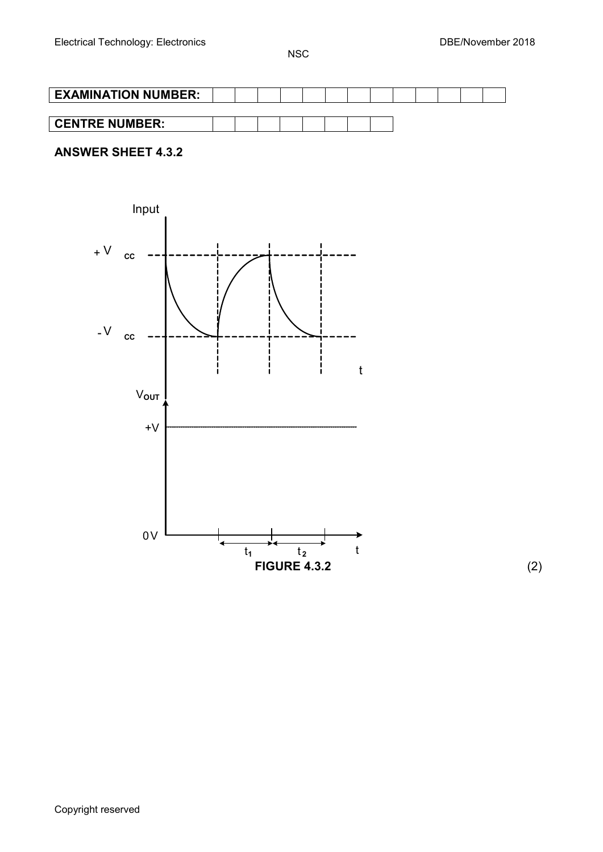| <b>EXAMINATION NUMBER:</b> |  |  |  |  |  |  |  |
|----------------------------|--|--|--|--|--|--|--|
|                            |  |  |  |  |  |  |  |
| <b>CENTRE NUMBER:</b>      |  |  |  |  |  |  |  |

# **ANSWER SHEET 4.3.2**



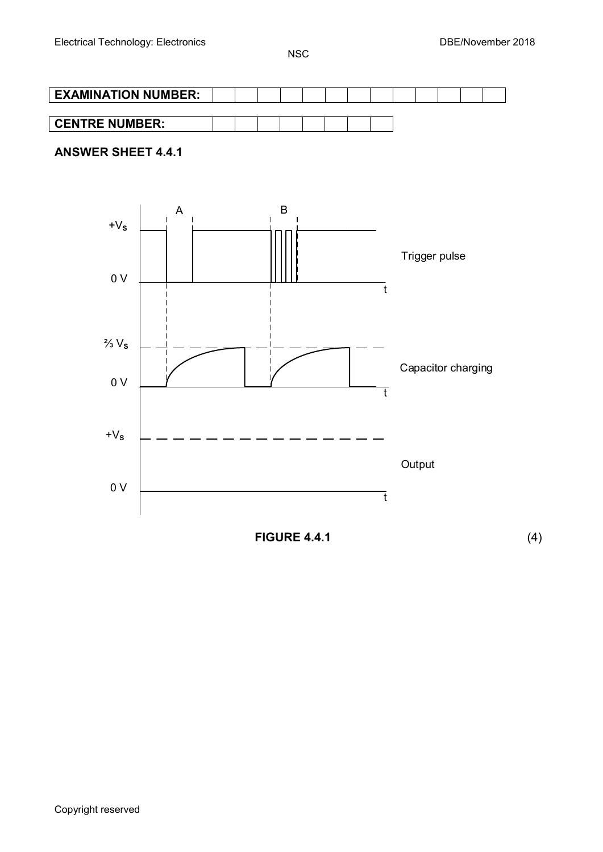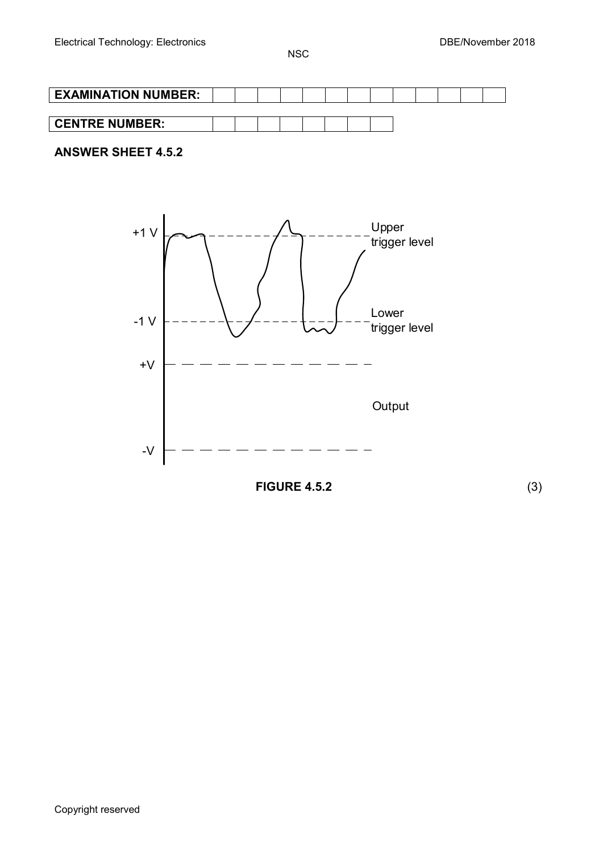

# **ANSWER SHEET 4.5.2**

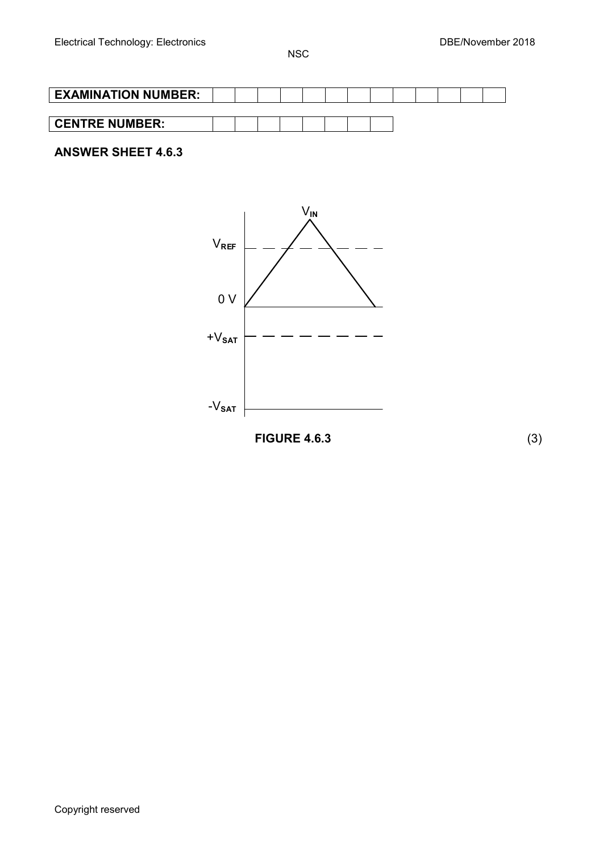| <b>EXAMINATION NUMBER:</b> |  |  |  |  |  |  |  |
|----------------------------|--|--|--|--|--|--|--|
|                            |  |  |  |  |  |  |  |
| <b>CENTRE NUMBER:</b>      |  |  |  |  |  |  |  |
|                            |  |  |  |  |  |  |  |

# **ANSWER SHEET 4.6.3**



**FIGURE 4.6.3** (3)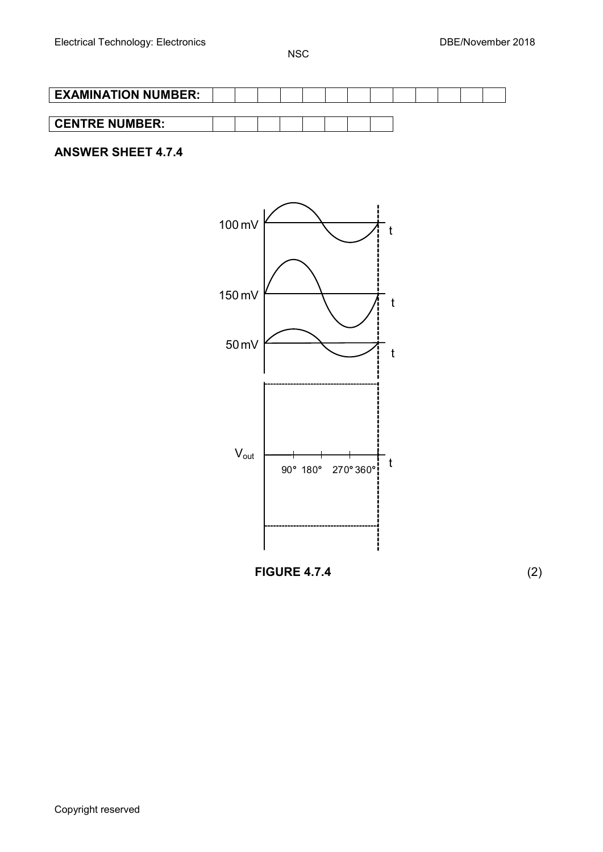| <b>EXAMINATION NUMBER:</b> |  |  |  |  |  |  |  |
|----------------------------|--|--|--|--|--|--|--|
|                            |  |  |  |  |  |  |  |
| <b>CENTRE NUMBER:</b>      |  |  |  |  |  |  |  |

# **ANSWER SHEET 4.7.4**



**FIGURE 4.7.4** (2)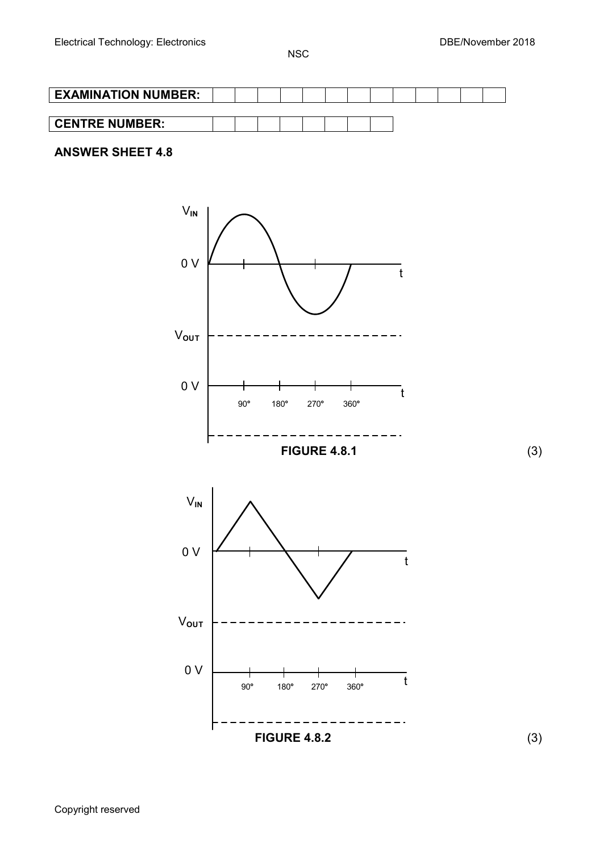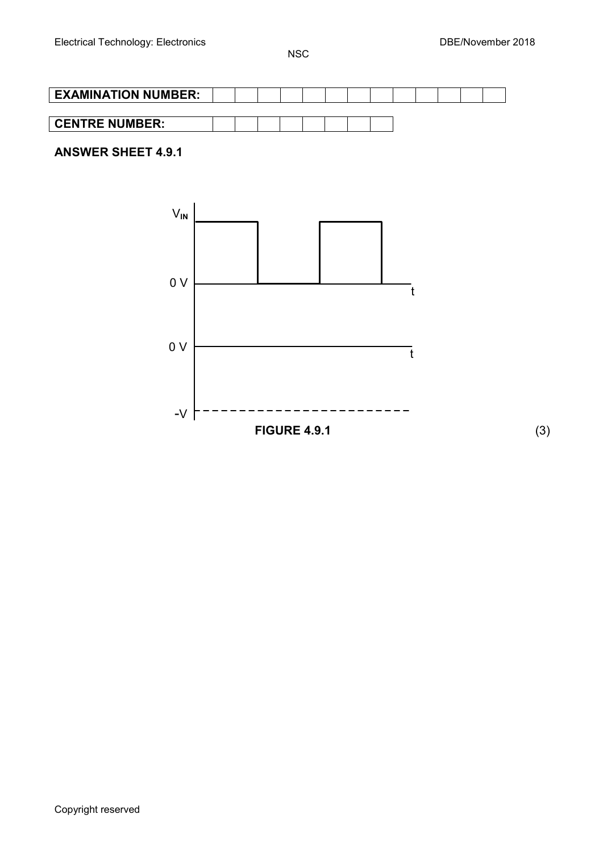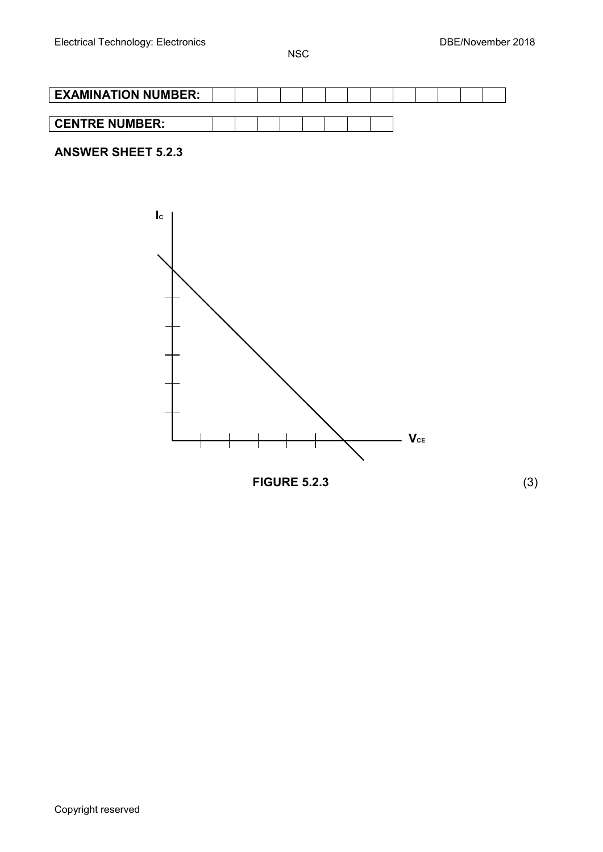| <b>EXAMINATION NUMBER:</b> |  |  |  |  |  |  |  |
|----------------------------|--|--|--|--|--|--|--|
|                            |  |  |  |  |  |  |  |
| <b>CENTRE NUMBER:</b>      |  |  |  |  |  |  |  |

# **ANSWER SHEET 5.2.3**



Copyright reserved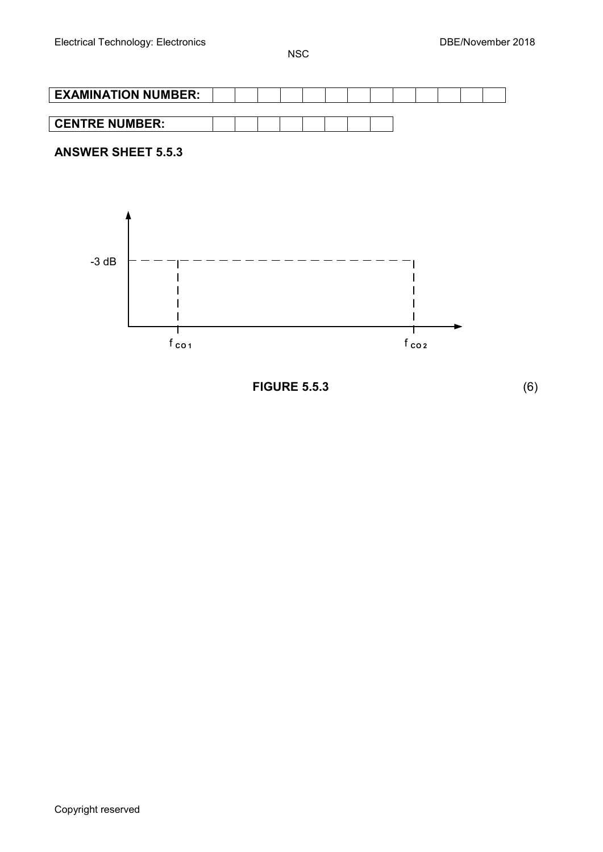

**FIGURE 5.5.3** (6)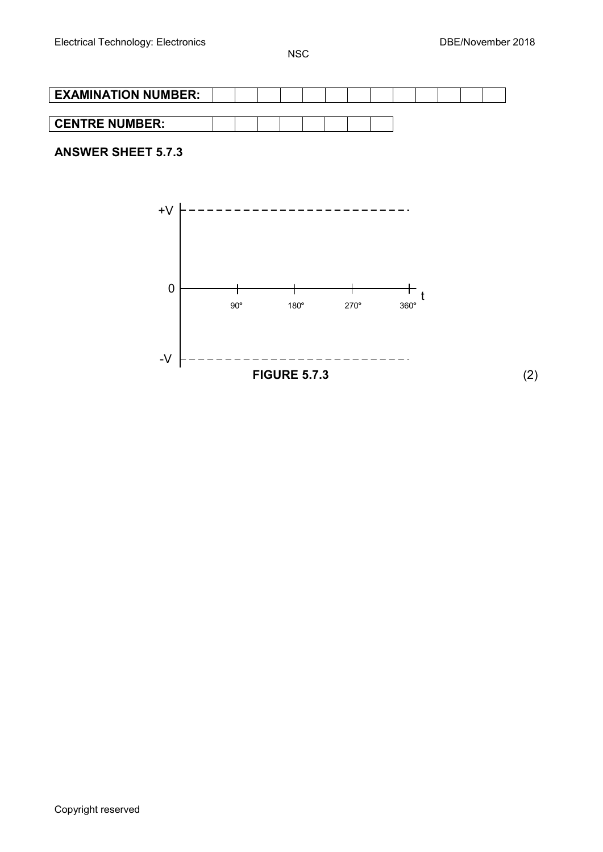